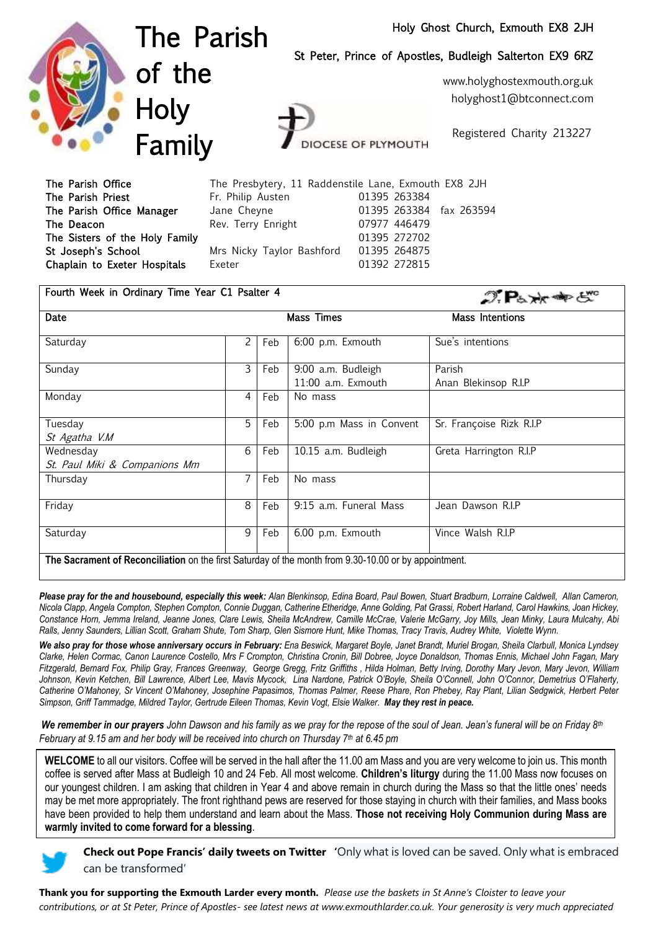## Holy Ghost Church, Exmouth EX8 2JH



The Parish of the Holy Family

St Peter, Prince of Apostles, Budleigh Salterton EX9 6RZ

www.holyghostexmouth.org.uk holyghost1@btconnect.com

Registered Charity 213227

The Parish Office The Presbytery, 11 Raddenstile Lane, Exmouth EX8 2JH The Parish Priest **Fr. Philip Austen** 61395 263384 The Parish Office Manager Jane Cheyne 01395 263384 fax 263594 The Deacon Rev. Terry Enright 07977 446479 The Sisters of the Holy Family 01395 272702 St Joseph's School Mrs Nicky Taylor Bashford 01395 264875 Chaplain to Exeter Hospitals Exeter **Exeter** 01392 272815

**OCESE OF PLYMOUTH** 

| Fourth Week in Ordinary Time Year C1 Psalter 4                                                        |                   |     |                                          | $\mathcal{D}$ $\mathbf{P}_{b} \times \mathbf{P}_{c}$ |  |
|-------------------------------------------------------------------------------------------------------|-------------------|-----|------------------------------------------|------------------------------------------------------|--|
| Date                                                                                                  | <b>Mass Times</b> |     |                                          | <b>Mass Intentions</b>                               |  |
| Saturday                                                                                              | 2                 | Feb | 6:00 p.m. Exmouth                        | Sue's intentions                                     |  |
| Sunday                                                                                                | 3                 | Feb | 9:00 a.m. Budleigh<br>11:00 a.m. Exmouth | Parish<br>Anan Blekinsop R.I.P                       |  |
| Monday                                                                                                | 4                 | Feb | No mass                                  |                                                      |  |
| Tuesday<br>St Agatha V.M                                                                              | 5                 | Feb | 5:00 p.m Mass in Convent                 | Sr. Françoise Rizk R.I.P                             |  |
| Wednesday<br>St. Paul Miki & Companions Mm                                                            | 6                 | Feb | 10.15 a.m. Budleigh                      | Greta Harrington R.I.P                               |  |
| Thursday                                                                                              | 7                 | Feb | No mass                                  |                                                      |  |
| Friday                                                                                                | 8                 | Feb | 9:15 a.m. Funeral Mass                   | Jean Dawson R.I.P                                    |  |
| Saturday                                                                                              | 9                 | Feb | 6.00 p.m. Exmouth                        | Vince Walsh R.I.P                                    |  |
| The Sacrament of Reconciliation on the first Saturday of the month from 9.30-10.00 or by appointment. |                   |     |                                          |                                                      |  |

Please pray for the and housebound, especially this week: Alan Blenkinsop, Edina Board, Paul Bowen, Stuart Bradburn, Lorraine Caldwell, Allan Cameron, *Nicola Clapp, Angela Compton, Stephen Compton, Connie Duggan, Catherine Etheridge, Anne Golding, Pat Grassi, Robert Harland, Carol Hawkins, Joan Hickey, Constance Horn, Jemma Ireland, Jeanne Jones, Clare Lewis, Sheila McAndrew, Camille McCrae, Valerie McGarry, Joy Mills, Jean Minky, Laura Mulcahy, Abi Ralls, Jenny Saunders, Lillian Scott, Graham Shute, Tom Sharp, Glen Sismore Hunt, Mike Thomas, Tracy Travis, Audrey White, Violette Wynn.*

*We also pray for those whose anniversary occurs in February: Ena Beswick, Margaret Boyle, Janet Brandt, Muriel Brogan, Sheila Clarbull, Monica Lyndsey Clarke, Helen Cormac, Canon Laurence Costello, Mrs F Crompton, Christina Cronin, Bill Dobree, Joyce Donaldson, Thomas Ennis, Michael John Fagan, Mary Fitzgerald, Bernard Fox, Philip Gray, Frances Greenway, George Gregg, Fritz Griffiths , Hilda Holman, Betty Irving, Dorothy Mary Jevon, Mary Jevon, William Johnson, Kevin Ketchen, Bill Lawrence, Albert Lee, Mavis Mycock, Lina Nardone, Patrick O'Boyle, Sheila O'Connell, John O'Connor, Demetrius O'Flaherty, Catherine O'Mahoney, Sr Vincent O'Mahoney, Josephine Papasimos, Thomas Palmer, Reese Phare, Ron Phebey, Ray Plant, Lilian Sedgwick, Herbert Peter Simpson, Griff Tammadge, Mildred Taylor, Gertrude Eileen Thomas, Kevin Vogt, Elsie Walker. May they rest in peace.* 

*We remember in our prayers John Dawson and his family as we pray for the repose of the soul of Jean. Jean's funeral will be on Friday 8th February at 9.15 am and her body will be received into church on Thursday 7th at 6.45 pm*

**WELCOME** to all our visitors. Coffee will be served in the hall after the 11.00 am Mass and you are very welcome to join us. This month coffee is served after Mass at Budleigh 10 and 24 Feb. All most welcome. **Children's liturgy** during the 11.00 Mass now focuses on our youngest children. I am asking that children in Year 4 and above remain in church during the Mass so that the little ones' needs may be met more appropriately. The front righthand pews are reserved for those staying in church with their families, and Mass books have been provided to help them understand and learn about the Mass. **Those not receiving Holy Communion during Mass are warmly invited to come forward for a blessing**.



**Check out Pope Francis' daily tweets on Twitter '**Only what is loved can be saved. Only what is embraced can be transformed'

**Thank you for supporting the Exmouth Larder every month.** *Please use the baskets in St Anne's Cloister to leave your contributions, or at St Peter, Prince of Apostles- see latest news at [www.exmouthlarder.co.uk. Your generosity is very much appreciated](http://www.exmouthlarder.co.uk/.%20Your%20generosity%20is%20very%20much%20appreciated%202017Sim)*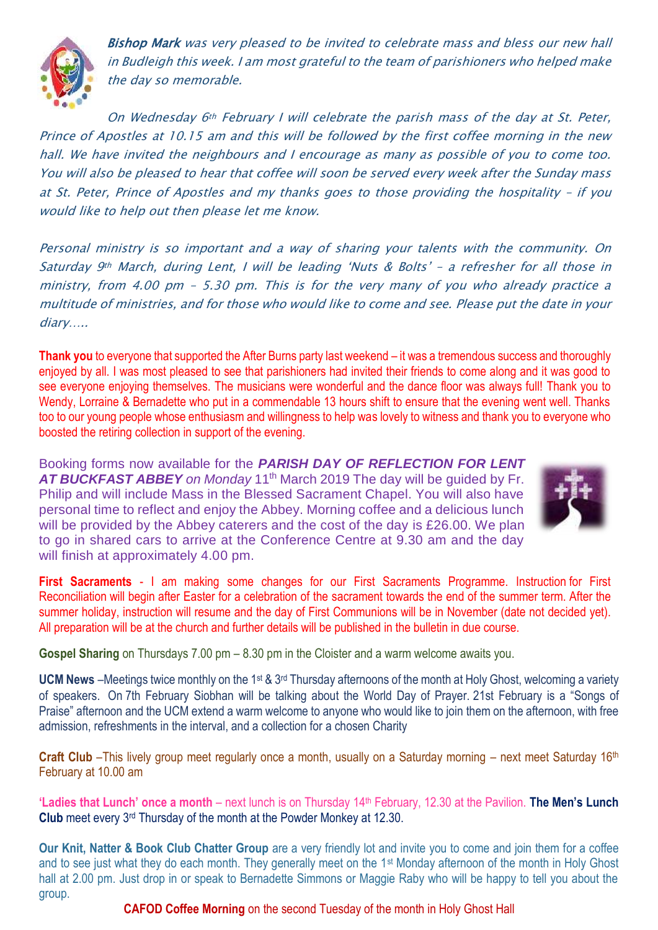

Bishop Mark was very pleased to be invited to celebrate mass and bless our new hall in Budleigh this week. I am most grateful to the team of parishioners who helped make the day so memorable.

On Wednesday 6th February I will celebrate the parish mass of the day at St. Peter, Prince of Apostles at 10.15 am and this will be followed by the first coffee morning in the new hall. We have invited the neighbours and I encourage as many as possible of you to come too. You will also be pleased to hear that coffee will soon be served every week after the Sunday mass at St. Peter, Prince of Apostles and my thanks goes to those providing the hospitality – if you would like to help out then please let me know.

Personal ministry is so important and a way of sharing your talents with the community. On Saturday 9th March, during Lent, I will be leading 'Nuts & Bolts' - a refresher for all those in ministry, from 4.00 pm – 5.30 pm. This is for the very many of you who already practice a multitude of ministries, and for those who would like to come and see. Please put the date in your diary…..

**Thank you** to everyone that supported the After Burns party last weekend – it was a tremendous success and thoroughly enjoyed by all. I was most pleased to see that parishioners had invited their friends to come along and it was good to see everyone enjoying themselves. The musicians were wonderful and the dance floor was always full! Thank you to Wendy, Lorraine & Bernadette who put in a commendable 13 hours shift to ensure that the evening went well. Thanks too to our young people whose enthusiasm and willingness to help was lovely to witness and thank you to everyone who boosted the retiring collection in support of the evening.

Booking forms now available for the *PARISH DAY OF REFLECTION FOR LENT* AT BUCKFAST ABBEY on Monday 11<sup>th</sup> March 2019 The day will be quided by Fr. Philip and will include Mass in the Blessed Sacrament Chapel. You will also have personal time to reflect and enjoy the Abbey. Morning coffee and a delicious lunch will be provided by the Abbey caterers and the cost of the day is £26.00. We plan to go in shared cars to arrive at the Conference Centre at 9.30 am and the day will finish at approximately 4.00 pm.



**First Sacraments** - I am making some changes for our First Sacraments Programme. Instruction for First Reconciliation will begin after Easter for a celebration of the sacrament towards the end of the summer term. After the summer holiday, instruction will resume and the day of First Communions will be in November (date not decided yet). All preparation will be at the church and further details will be published in the bulletin in due course.

**Gospel Sharing** on Thursdays 7.00 pm – 8.30 pm in the Cloister and a warm welcome awaits you.

UCM News –Meetings twice monthly on the 1<sup>st</sup> & 3<sup>rd</sup> Thursday afternoons of the month at Holy Ghost, welcoming a variety of speakers. On 7th February Siobhan will be talking about the World Day of Prayer. 21st February is a "Songs of Praise" afternoon and the UCM extend a warm welcome to anyone who would like to join them on the afternoon, with free admission, refreshments in the interval, and a collection for a chosen Charity

**Craft Club** –This lively group meet regularly once a month, usually on a Saturday morning – next meet Saturday 16<sup>th</sup> February at 10.00 am

**'Ladies that Lunch' once a month** – next lunch is on Thursday 14th February, 12.30 at the Pavilion. **The Men's Lunch Club** meet every 3rd Thursday of the month at the Powder Monkey at 12.30.

**Our Knit, Natter & Book Club Chatter Group** are a very friendly lot and invite you to come and join them for a coffee and to see just what they do each month. They generally meet on the 1st Monday afternoon of the month in Holy Ghost hall at 2.00 pm. Just drop in or speak to Bernadette Simmons or Maggie Raby who will be happy to tell you about the group.

 **CAFOD Coffee Morning** on the second Tuesday of the month in Holy Ghost Hall